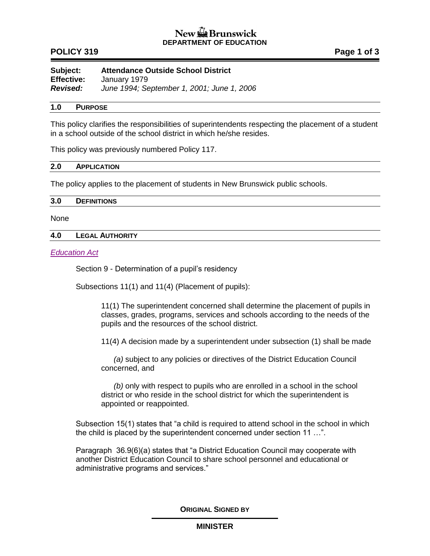# New  $\mathbb{Z}$  Brunswick **DEPARTMENT OF EDUCATION**

## **POLICY 319 POLICY 319**

**Subject: Attendance Outside School District Effective:** January 1979 *Revised: June 1994; September 1, 2001; June 1, 2006*

## **1.0 PURPOSE**

This policy clarifies the responsibilities of superintendents respecting the placement of a student in a school outside of the school district in which he/she resides.

This policy was previously numbered Policy 117.

## **2.0 APPLICATION**

The policy applies to the placement of students in New Brunswick public schools.

#### **3.0 DEFINITIONS**

None

## **4.0 LEGAL AUTHORITY**

## *[Education Act](http://laws.gnb.ca/en/ShowPdf/cs/E-1.12.pdf)*

Section 9 - Determination of a pupil's residency

Subsections 11(1) and 11(4) (Placement of pupils):

11(1) The superintendent concerned shall determine the placement of pupils in classes, grades, programs, services and schools according to the needs of the pupils and the resources of the school district.

11(4) A decision made by a superintendent under subsection (1) shall be made

*(a)* subject to any policies or directives of the District Education Council concerned, and

*(b)* only with respect to pupils who are enrolled in a school in the school district or who reside in the school district for which the superintendent is appointed or reappointed.

Subsection 15(1) states that "a child is required to attend school in the school in which the child is placed by the superintendent concerned under section 11 …".

Paragraph 36.9(6)(a) states that "a District Education Council may cooperate with another District Education Council to share school personnel and educational or administrative programs and services."

**ORIGINAL SIGNED BY**

#### **MINISTER**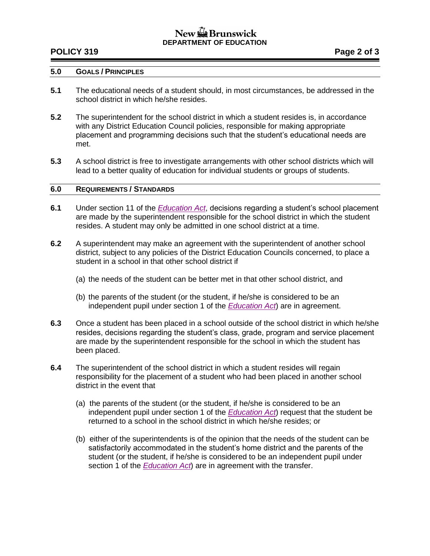# New & Brunswick **DEPARTMENT OF EDUCATION**

## **POLICY 319 Page 2 of 3**

## **5.0 GOALS / PRINCIPLES**

- **5.1** The educational needs of a student should, in most circumstances, be addressed in the school district in which he/she resides.
- **5.2** The superintendent for the school district in which a student resides is, in accordance with any District Education Council policies, responsible for making appropriate placement and programming decisions such that the student's educational needs are met.
- **5.3** A school district is free to investigate arrangements with other school districts which will lead to a better quality of education for individual students or groups of students.

## **6.0 REQUIREMENTS / STANDARDS**

- **6.1** Under section 11 of the *[Education Act](http://laws.gnb.ca/en/ShowPdf/cs/E-1.12.pdf)*, decisions regarding a student's school placement are made by the superintendent responsible for the school district in which the student resides. A student may only be admitted in one school district at a time.
- **6.2** A superintendent may make an agreement with the superintendent of another school district, subject to any policies of the District Education Councils concerned, to place a student in a school in that other school district if
	- (a) the needs of the student can be better met in that other school district, and
	- (b) the parents of the student (or the student, if he/she is considered to be an independent pupil under section 1 of the *[Education Act](http://laws.gnb.ca/en/ShowPdf/cs/E-1.12.pdf)*) are in agreement.
- **6.3** Once a student has been placed in a school outside of the school district in which he/she resides, decisions regarding the student's class, grade, program and service placement are made by the superintendent responsible for the school in which the student has been placed.
- **6.4** The superintendent of the school district in which a student resides will regain responsibility for the placement of a student who had been placed in another school district in the event that
	- (a) the parents of the student (or the student, if he/she is considered to be an independent pupil under section 1 of the *[Education Act](http://laws.gnb.ca/en/ShowPdf/cs/E-1.12.pdf)*) request that the student be returned to a school in the school district in which he/she resides; or
	- (b) either of the superintendents is of the opinion that the needs of the student can be satisfactorily accommodated in the student's home district and the parents of the student (or the student, if he/she is considered to be an independent pupil under section 1 of the *[Education Act](http://laws.gnb.ca/en/ShowPdf/cs/E-1.12.pdf)*) are in agreement with the transfer.